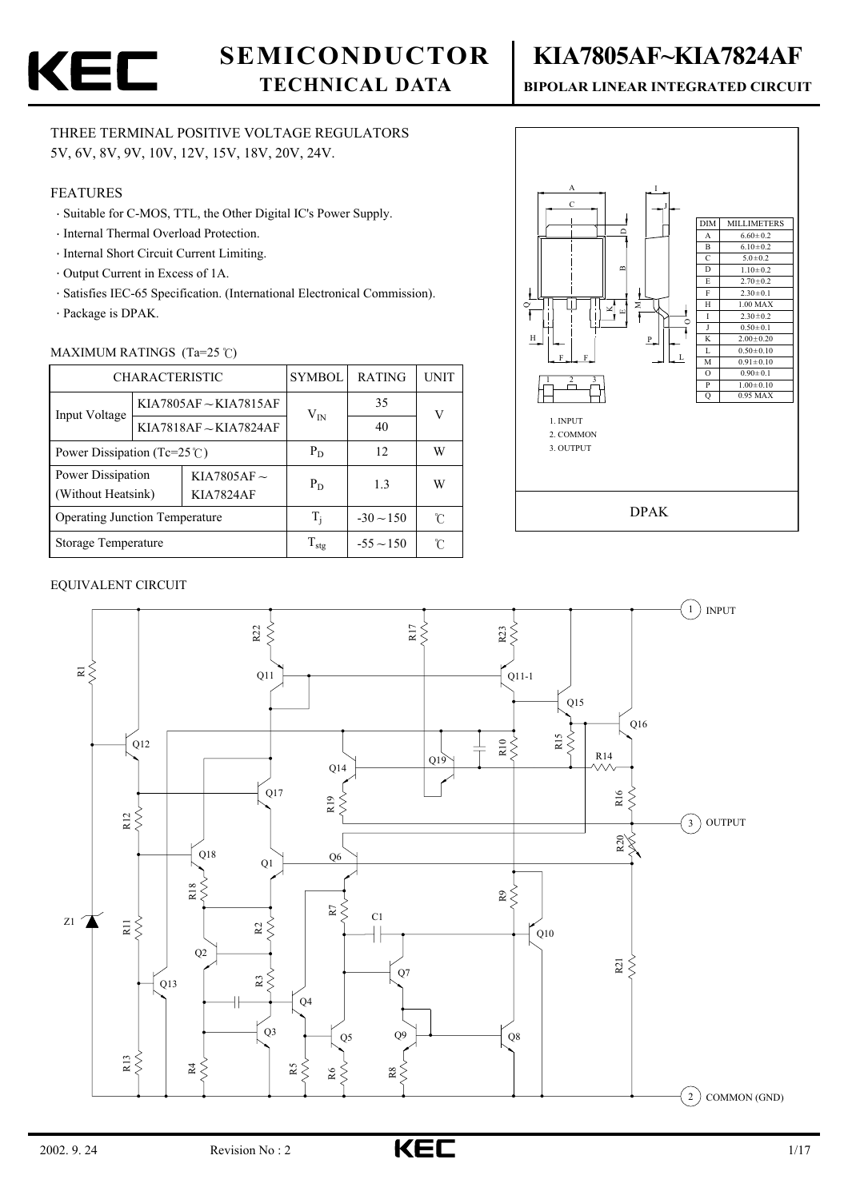

# **SEMICONDUCTOR**

# **TECHNICAL DATA**

#### THREE TERMINAL POSITIVE VOLTAGE REGULATORS 5V, 6V, 8V, 9V, 10V, 12V, 15V, 18V, 20V, 24V.

#### FEATURES

- Suitable for C-MOS, TTL, the Other Digital IC's Power Supply.
- Internal Thermal Overload Protection.
- Internal Short Circuit Current Limiting.
- Output Current in Excess of 1A.
- Satisfies IEC-65 Specification. (International Electronical Commission).
- Package is DPAK.

#### MAXIMUM RATINGS  $(Ta=25 \degree C)$

|                                                                                 | <b>CHARACTERISTIC</b> | <b>SYMBOL</b>         | <b>RATING</b>     | <b>UNIT</b>    |   |
|---------------------------------------------------------------------------------|-----------------------|-----------------------|-------------------|----------------|---|
| Input Voltage                                                                   |                       | KIA7805AF ~ KIA7815AF | $\rm V_{IN}$      | 35             | V |
|                                                                                 |                       | KIA7818AF~KIA7824AF   |                   | 40             |   |
| Power Dissipation (Tc=25 $\degree$ C)                                           |                       |                       | $P_D$             | 12             | W |
| Power Dissipation<br>KIA7805AF $\sim$<br>(Without Heatsink)<br><b>KIA7824AF</b> |                       |                       | $P_D$             | 1.3            | W |
| <b>Operating Junction Temperature</b>                                           |                       | T,                    | $-30 \sim 150$    | r              |   |
| Storage Temperature                                                             |                       |                       | $\rm T_{\rm stg}$ | $-55 \sim 150$ | r |



#### EQUIVALENT CIRCUIT



# **KIA7805AF~KIA7824AF**

#### **BIPOLAR LINEAR INTEGRATED CIRCUIT**

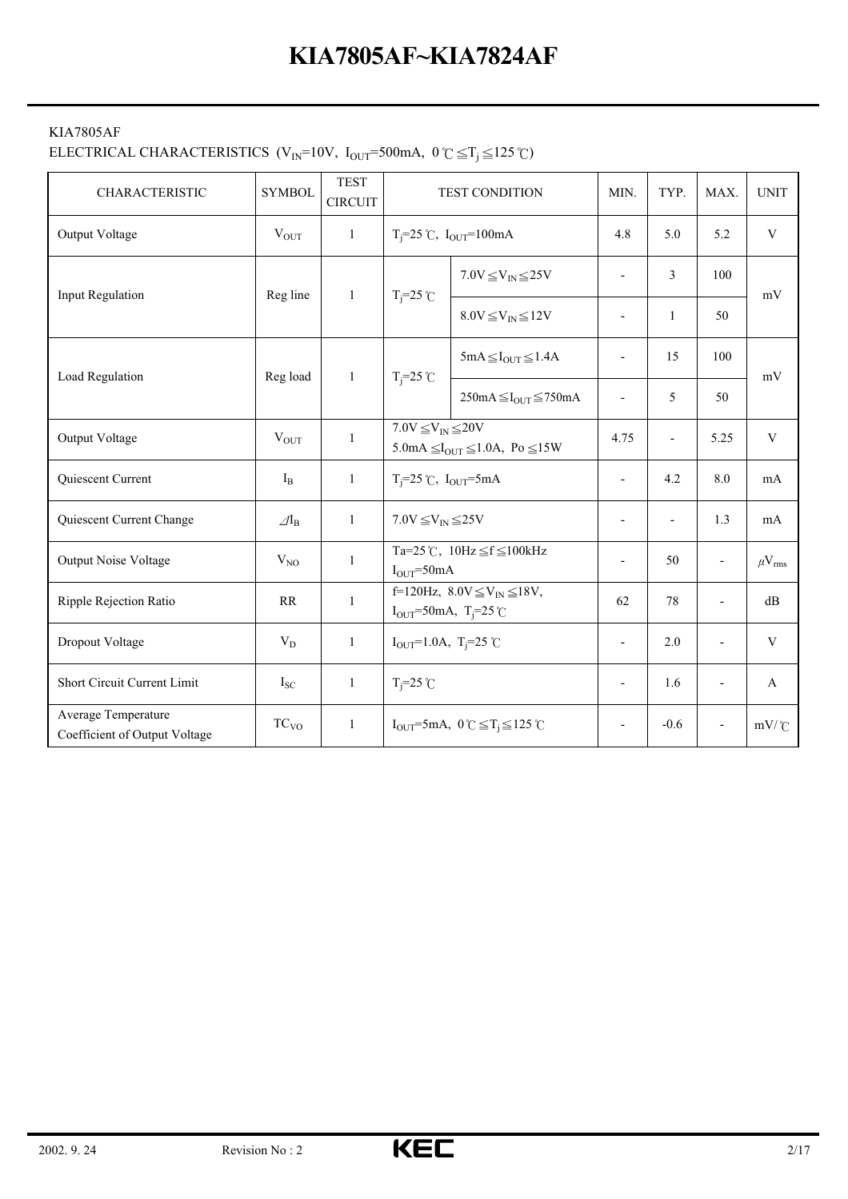#### KIA7805AF

# ELECTRICAL CHARACTERISTICS (V<sub>IN</sub>=10V, I<sub>OUT</sub>=500mA, 0 °C  $\leq$  T<sub>j</sub>  $\leq$  125 °C)

| CHARACTERISTIC                                       | <b>SYMBOL</b>            | <b>TEST</b><br><b>CIRCUIT</b> |                                                                                       | TEST CONDITION                                              | MIN.                     | TYP.                     | MAX.                     | <b>UNIT</b>            |
|------------------------------------------------------|--------------------------|-------------------------------|---------------------------------------------------------------------------------------|-------------------------------------------------------------|--------------------------|--------------------------|--------------------------|------------------------|
| Output Voltage                                       | $V_{\text{OUT}}$         | 1                             |                                                                                       | $T_i = 25$ °C, $I_{OUT} = 100$ mA                           | 4.8                      | 5.0                      | 5.2                      | $\mathbf V$            |
| Input Regulation                                     | Reg line                 | 1                             |                                                                                       | $7.0V \leq V_{IN} \leq 25V$                                 | $\overline{a}$           | $\overline{3}$           | 100                      | mV                     |
|                                                      |                          |                               | $T_i = 25$ °C                                                                         | $8.0V \leq V_{IN} \leq 12V$                                 | $\overline{\phantom{a}}$ | $\mathbf{1}$             | 50                       |                        |
|                                                      |                          |                               |                                                                                       | $5mA \leq I_{OUT} \leq 1.4A$                                |                          | 15                       | 100                      | mV                     |
| Load Regulation                                      | Reg load                 | 1                             | $T_i = 25$ °C                                                                         | $250mA \leq I_{OUT} \leq 750mA$                             | $\overline{\phantom{a}}$ | 5                        | 50                       |                        |
| Output Voltage                                       | $V_{OUT}$                | 1                             | $7.0V \leq V_{IN} \leq 20V$<br>5.0mA $\leq I_{\text{OUT}} \leq 1.0$ A, Po $\leq 15$ W |                                                             | 4.75                     | $\overline{\phantom{a}}$ | 5.25                     | $\mathbf V$            |
| Quiescent Current                                    | $I_{B}$                  | $\mathbf{1}$                  | $T_i = 25$ °C, $I_{OUT} = 5mA$                                                        |                                                             | $\overline{a}$           | 4.2                      | 8.0                      | mA                     |
| Quiescent Current Change                             | $\mathcal{A}_{\text{B}}$ | 1                             | $7.0V \leq V_{IN} \leq 25V$                                                           |                                                             | $\overline{\phantom{a}}$ |                          | 1.3                      | mA                     |
| <b>Output Noise Voltage</b>                          | $\rm V_{NO}$             | $\mathbf{1}$                  | $IOUT=50mA$                                                                           | Ta=25°C, $10Hz \leq f \leq 100kHz$                          | Ĭ.                       | 50                       | $\overline{\phantom{a}}$ | $\mu$ V <sub>rms</sub> |
| Ripple Rejection Ratio                               | RR                       | 1                             | $I_{OUT} = 50 \text{mA}, T_{i} = 25 \text{°C}$                                        | f=120Hz, $8.0V \leq V_{IN} \leq 18V$ ,                      | 62                       | 78                       | $\overline{a}$           | dB                     |
| Dropout Voltage                                      | $V_D$                    | $\mathbf{1}$                  | $I_{OUT} = 1.0A$ , T <sub>i</sub> =25 °C                                              |                                                             | $\overline{a}$           | 2.0                      |                          | $\mathbf{V}$           |
| Short Circuit Current Limit                          | $I_{SC}$                 | 1                             | $T_i = 25$ °C                                                                         |                                                             | $\overline{\phantom{a}}$ | 1.6                      | $\overline{\phantom{0}}$ | $\mathbf{A}$           |
| Average Temperature<br>Coefficient of Output Voltage | TC <sub>VO</sub>         | $\mathbf{1}$                  |                                                                                       | $I_{OUT} = 5mA$ , $0 \degree C \leq T_j \leq 125 \degree C$ | $\overline{\phantom{a}}$ | $-0.6$                   |                          | $mV$ /°C               |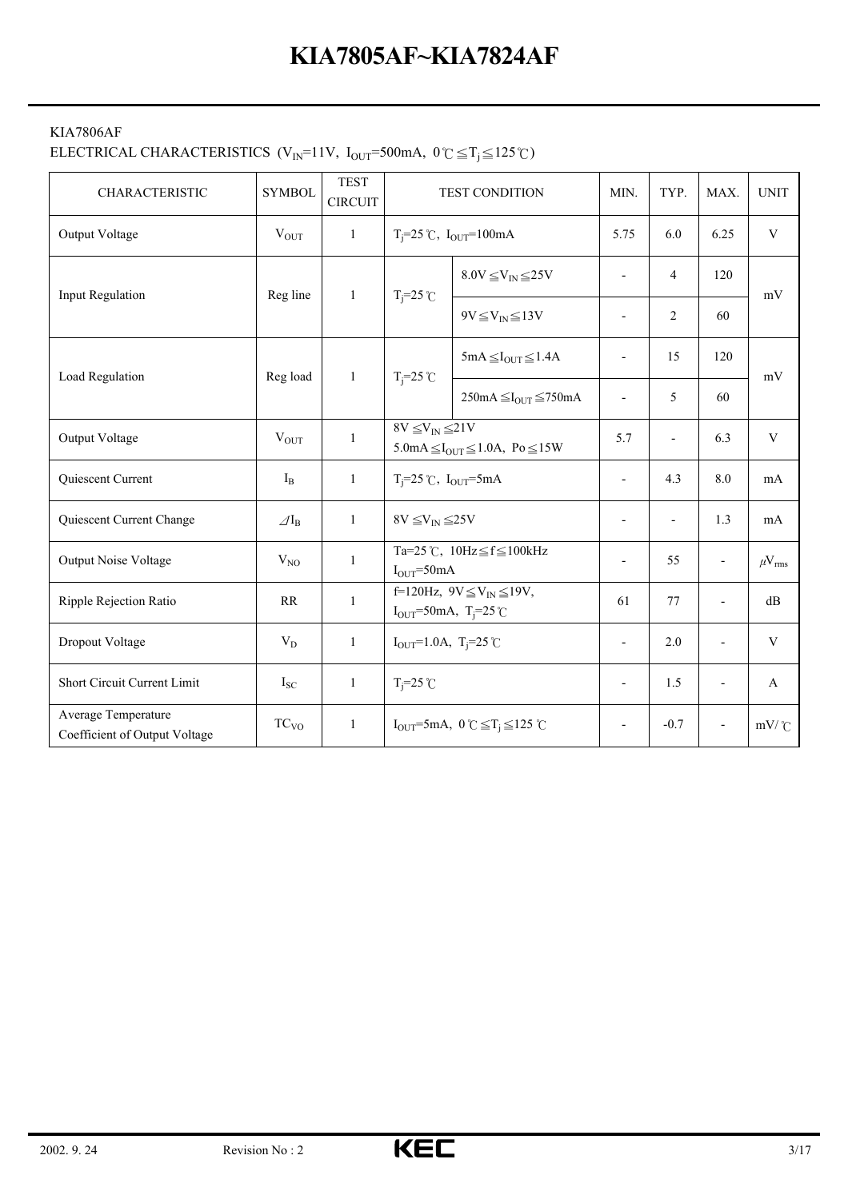#### KIA7806AF

# ELECTRICAL CHARACTERISTICS (V<sub>IN</sub>=11V, I<sub>OUT</sub>=500mA,  $0^{\circ}C \leq T_j \leq 125^{\circ}C$ )

| <b>CHARACTERISTIC</b>                                | <b>SYMBOL</b>            | <b>TEST</b><br><b>CIRCUIT</b> |                                                                                    | <b>TEST CONDITION</b>                                                                  | MIN.                     | TYP.                     | MAX.                     | <b>UNIT</b>          |
|------------------------------------------------------|--------------------------|-------------------------------|------------------------------------------------------------------------------------|----------------------------------------------------------------------------------------|--------------------------|--------------------------|--------------------------|----------------------|
| Output Voltage                                       | $V_{\text{OUT}}$         | $\mathbf{1}$                  |                                                                                    | $T_i = 25$ °C, $I_{OUT} = 100$ mA                                                      | 5.75                     | 6.0                      | 6.25                     | $\mathbf V$          |
| <b>Input Regulation</b>                              | Reg line                 | $\mathbf{1}$                  |                                                                                    | $8.0V \leq V_{IN} \leq 25V$                                                            | $\overline{a}$           | 4                        | 120                      | mV                   |
|                                                      |                          |                               | $T_i = 25$ °C                                                                      | $9V \leq V_{IN} \leq 13V$                                                              | $\overline{\phantom{0}}$ | $\overline{2}$           | 60                       |                      |
|                                                      |                          |                               |                                                                                    | $5mA \leq I_{OUT} \leq 1.4A$                                                           | $\overline{a}$           | 15                       | 120                      |                      |
| Load Regulation                                      | Reg load                 | $\mathbf{1}$                  | $T_i = 25$ °C                                                                      | $250mA \leq I_{OUT} \leq 750mA$                                                        | $\overline{\phantom{a}}$ | 5                        | 60                       | mV                   |
| Output Voltage                                       | $V_{OUT}$                | $\mathbf{1}$                  | $8V \leq V_{\text{IN}} \leq 21V$<br>$5.0mA \leq I_{OUT} \leq 1.0A$ , Po $\leq 15W$ |                                                                                        | 5.7                      | $\overline{\phantom{a}}$ | 6.3                      | $\mathbf V$          |
| Quiescent Current                                    | $I_{B}$                  | $\mathbf{1}$                  |                                                                                    | $T_i = 25$ °C, $I_{OUT} = 5mA$                                                         |                          | 4.3                      | 8.0                      | mA                   |
| Quiescent Current Change                             | $\varDelta I_{\text{B}}$ | $\mathbf{1}$                  | $8V \leq V_{IN} \leq 25V$                                                          |                                                                                        | $\overline{\phantom{a}}$ | ÷,                       | 1.3                      | mA                   |
| Output Noise Voltage                                 | $V_{NO}$                 | $\mathbf{1}$                  | $I_{OUT} = 50mA$                                                                   | Ta=25 °C, $10Hz \leq f \leq 100kHz$                                                    | $\overline{\phantom{a}}$ | 55                       | $\overline{\phantom{a}}$ | $\mu V_{\rm rms}$    |
| Ripple Rejection Ratio                               | RR                       | $\mathbf{1}$                  |                                                                                    | f=120Hz, $9V \leq V_{IN} \leq 19V$ ,<br>$I_{OUT} = 50 \text{mA}, T_{i} = 25 \text{°C}$ | 61                       | 77                       | $\overline{a}$           | dB                   |
| Dropout Voltage                                      | $V_D$                    | $\mathbf{1}$                  | $I_{OUT} = 1.0A$ , T <sub>i</sub> =25°C                                            |                                                                                        | $\overline{\phantom{a}}$ | 2.0                      |                          | $\mathbf V$          |
| Short Circuit Current Limit                          | $I_{SC}$                 | $\mathbf{1}$                  | $T_i = 25$ °C                                                                      |                                                                                        | $\overline{\phantom{a}}$ | 1.5                      |                          | A                    |
| Average Temperature<br>Coefficient of Output Voltage | TC <sub>VO</sub>         | $\mathbf{1}$                  |                                                                                    | $I_{\text{OUT}}=5 \text{mA}, 0^{\circ}C \leq T_i \leq 125^{\circ}C$                    | $\overline{\phantom{a}}$ | $-0.7$                   |                          | $mV$ / $\mathcal{C}$ |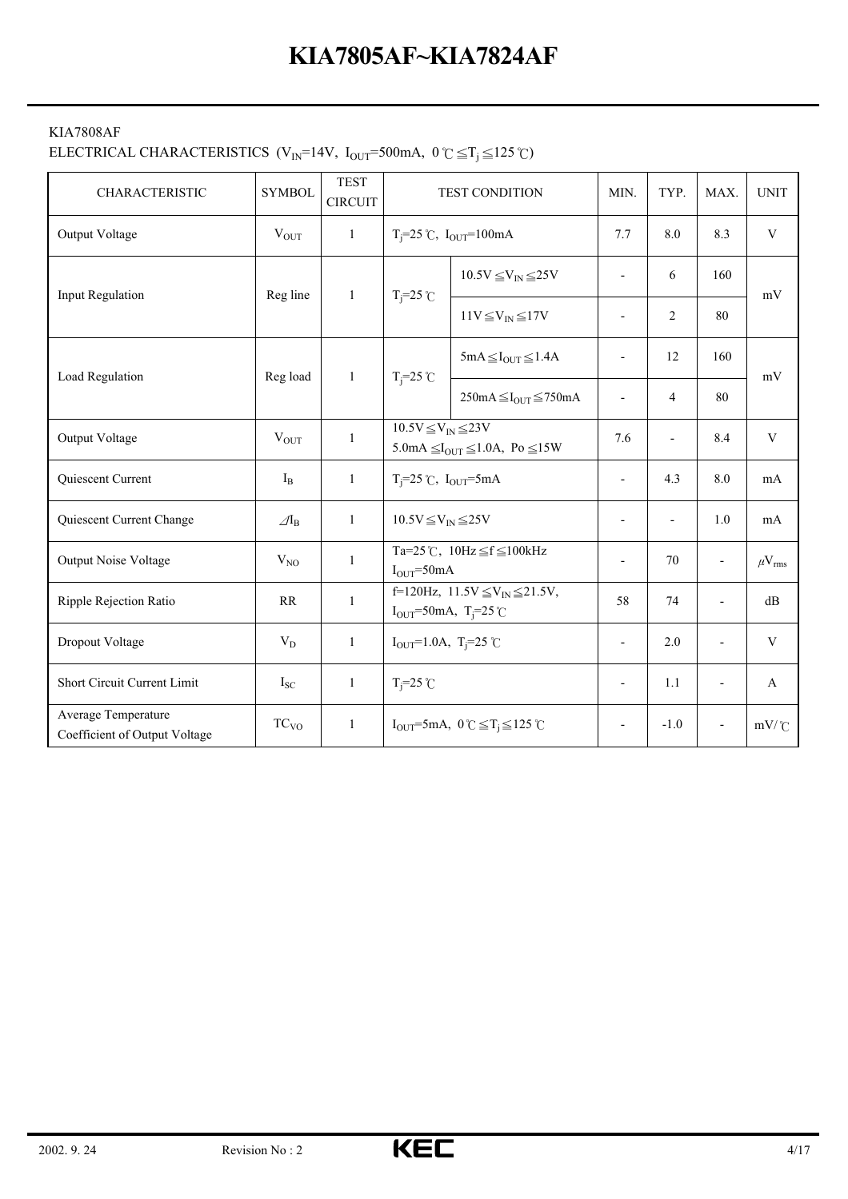#### KIA7808AF

# ELECTRICAL CHARACTERISTICS (V<sub>IN</sub>=14V, I<sub>OUT</sub>=500mA,  $0 \degree \subseteq T_j \leq 125 \degree C$ )

| CHARACTERISTIC                                       | <b>SYMBOL</b>              | <b>TEST</b><br><b>CIRCUIT</b> |                                                                                          | <b>TEST CONDITION</b>                                                                              | MIN.                     | TYP.                     | MAX.                     | <b>UNIT</b>       |
|------------------------------------------------------|----------------------------|-------------------------------|------------------------------------------------------------------------------------------|----------------------------------------------------------------------------------------------------|--------------------------|--------------------------|--------------------------|-------------------|
| Output Voltage                                       | $V_{\text{OUT}}$           | $\mathbf{1}$                  |                                                                                          | $T_i = 25$ °C, $I_{OUT} = 100$ mA                                                                  | 7.7                      | 8.0                      | 8.3                      | $\mathbf V$       |
| Input Regulation                                     | Reg line                   | 1                             |                                                                                          | $10.5V \leq V_{IN} \leq 25V$                                                                       | $\blacksquare$           | 6                        | 160                      | mV                |
|                                                      |                            |                               | $T_i = 25$ °C                                                                            | $11V \leq V_{IN} \leq 17V$                                                                         | $\overline{a}$           | 2                        | 80                       |                   |
|                                                      |                            |                               |                                                                                          | $5mA \leq I_{OUT} \leq 1.4A$                                                                       |                          | 12                       | 160                      | mV                |
| Load Regulation                                      | Reg load                   | $\mathbf{1}$                  | $T_i = 25$ °C                                                                            | $250mA \leq I_{OUT} \leq 750mA$                                                                    | $\overline{a}$           | $\overline{4}$           | 80                       |                   |
| Output Voltage                                       | $V_{OUT}$                  | $\mathbf{1}$                  | $10.5V \leq V_{IN} \leq 23V$<br>5.0mA $\leq$ I <sub>OUT</sub> $\leq$ 1.0A, Po $\leq$ 15W |                                                                                                    | 7.6                      | $\overline{\phantom{0}}$ | 8.4                      | $\mathbf V$       |
| Quiescent Current                                    | $I_{B}$                    | 1                             | $T_i = 25$ °C, $I_{OUT} = 5mA$                                                           |                                                                                                    | ÷,                       | 4.3                      | 8.0                      | mA                |
| Quiescent Current Change                             | $\mathcal{A}_{\mathrm{B}}$ | $\mathbf{1}$                  | $10.5V \leq V_{\text{IN}} \leq 25V$                                                      |                                                                                                    | $\overline{\phantom{a}}$ |                          | 1.0                      | mA                |
| Output Noise Voltage                                 | $V_{NO}$                   | 1                             | $IOUT=50mA$                                                                              | Ta=25°C, $10Hz \leq f \leq 100kHz$                                                                 | $\overline{a}$           | 70                       | $\overline{\phantom{a}}$ | $\mu V_{\rm rms}$ |
| Ripple Rejection Ratio                               | <b>RR</b>                  | $\mathbf{1}$                  |                                                                                          | f=120Hz, $11.5V \leq V_{\text{IN}} \leq 21.5V$ ,<br>$I_{OUT} = 50 \text{mA}, T_{i} = 25 \text{°C}$ |                          | 74                       | $\overline{a}$           | dB                |
| Dropout Voltage                                      | $V_D$                      | 1                             | $I_{OUT} = 1.0A$ , T <sub>i</sub> =25 °C                                                 |                                                                                                    |                          | 2.0                      |                          | $\mathbf V$       |
| Short Circuit Current Limit                          | $I_{SC}$                   | $\mathbf{1}$                  | $T_i = 25$ °C                                                                            |                                                                                                    | $\overline{\phantom{a}}$ | 1.1                      | $\overline{a}$           | A                 |
| Average Temperature<br>Coefficient of Output Voltage | TC <sub>VO</sub>           | $\mathbf{1}$                  |                                                                                          | $I_{OUT} = 5mA$ , $0 \degree C \leq T_j \leq 125 \degree C$                                        | $\overline{\phantom{a}}$ | $-1.0$                   | $\overline{\phantom{a}}$ | $mV$ /°C          |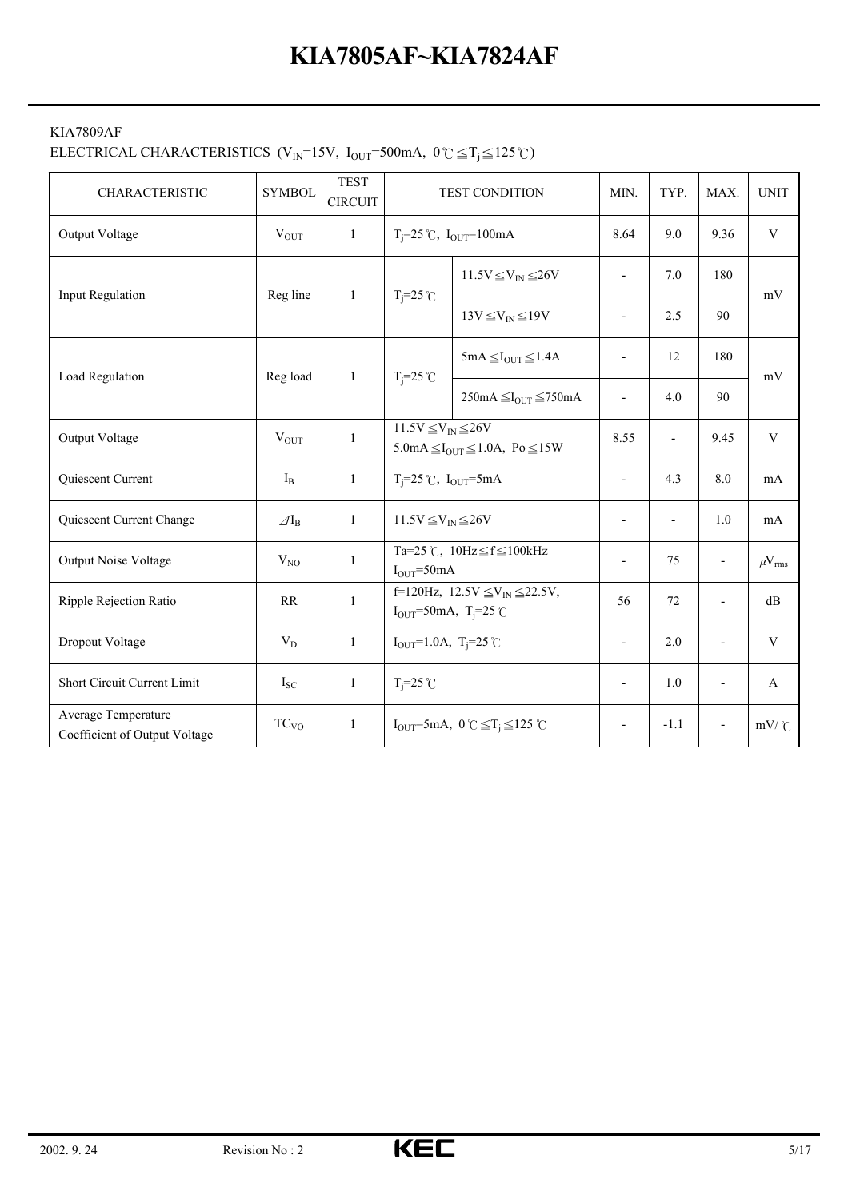#### KIA7809AF

# ELECTRICAL CHARACTERISTICS (V<sub>IN</sub>=15V, I<sub>OUT</sub>=500mA,  $0^{\circ}C \leq T_j \leq 125^{\circ}C$ )

| <b>CHARACTERISTIC</b>                                | <b>SYMBOL</b>            | <b>TEST</b><br><b>CIRCUIT</b> |                                                                                                               | <b>TEST CONDITION</b>                                                                       | MIN.                     | TYP.                     | MAX.                     | <b>UNIT</b>          |
|------------------------------------------------------|--------------------------|-------------------------------|---------------------------------------------------------------------------------------------------------------|---------------------------------------------------------------------------------------------|--------------------------|--------------------------|--------------------------|----------------------|
| Output Voltage                                       | $V_{\text{OUT}}$         | $\mathbf{1}$                  |                                                                                                               | $T_i = 25$ °C, $I_{OUT} = 100$ mA                                                           | 8.64                     | 9.0                      | 9.36                     | $\mathbf V$          |
| <b>Input Regulation</b>                              | Reg line                 | $\mathbf{1}$                  | $T_i = 25$ °C                                                                                                 | $11.5V \leq V_{IN} \leq 26V$                                                                | $\overline{a}$           | 7.0                      | 180                      | mV                   |
|                                                      |                          |                               |                                                                                                               | $13V \leq V_{\text{IN}} \leq 19V$                                                           | $\overline{\phantom{a}}$ | 2.5                      | 90                       |                      |
|                                                      |                          |                               |                                                                                                               | $5mA \leq I_{OUT} \leq 1.4A$                                                                | $\overline{\phantom{a}}$ | 12                       | 180                      | mV                   |
| Load Regulation                                      | Reg load                 | $\mathbf{1}$                  | $T_i = 25$ °C                                                                                                 | $250mA \leq I_{OUT} \leq 750mA$                                                             | $\overline{\phantom{a}}$ | 4.0                      | 90                       |                      |
| Output Voltage                                       | $V_{OUT}$                | $\mathbf{1}$                  | $11.5V \leq V_{IN} \leq 26V$<br>$5.0 \text{mA} \leq I_{\text{OUT}} \leq 1.0 \text{A}$ , Po $\leq 15 \text{W}$ |                                                                                             | 8.55                     | $\overline{\phantom{a}}$ | 9.45                     | $\mathbf V$          |
| Quiescent Current                                    | $I_{B}$                  | $\mathbf{1}$                  | $T_j = 25$ °C, $I_{OUT} = 5mA$                                                                                |                                                                                             | $\overline{\phantom{a}}$ | 4.3                      | 8.0                      | mA                   |
| Quiescent Current Change                             | $\varDelta I_{\text{B}}$ | $\mathbf{1}$                  | $11.5V \leq V_{\text{IN}} \leq 26V$                                                                           |                                                                                             | $\overline{\phantom{a}}$ | ÷,                       | 1.0                      | mA                   |
| Output Noise Voltage                                 | $V_{NO}$                 | $\mathbf{1}$                  | $I_{OUT} = 50mA$                                                                                              | Ta=25 °C, $10Hz \leq f \leq 100kHz$                                                         | $\overline{\phantom{a}}$ | 75                       | $\overline{\phantom{a}}$ | $\mu V_{\rm rms}$    |
| Ripple Rejection Ratio                               | RR                       | $\mathbf{1}$                  |                                                                                                               | f=120Hz, $12.5V \leq V_{IN} \leq 22.5V$ ,<br>$I_{OUT} = 50 \text{mA}, T_{i} = 25 \text{°C}$ | 56                       | 72                       | $\overline{a}$           | dB                   |
| Dropout Voltage                                      | $V_D$                    | $\mathbf{1}$                  | $I_{OUT} = 1.0A$ , T <sub>i</sub> =25°C                                                                       |                                                                                             | $\overline{\phantom{a}}$ | 2.0                      |                          | $\mathbf V$          |
| Short Circuit Current Limit                          | $I_{SC}$                 | $\mathbf{1}$                  | $T_i = 25$ °C                                                                                                 |                                                                                             | $\overline{\phantom{a}}$ | 1.0                      |                          | A                    |
| Average Temperature<br>Coefficient of Output Voltage | TC <sub>VO</sub>         | $\mathbf{1}$                  |                                                                                                               | $I_{\text{OUT}}=5 \text{mA}, 0^{\circ}C \leq T_i \leq 125^{\circ}C$                         | $\overline{\phantom{a}}$ | $-1.1$                   |                          | $mV$ / $\mathcal{C}$ |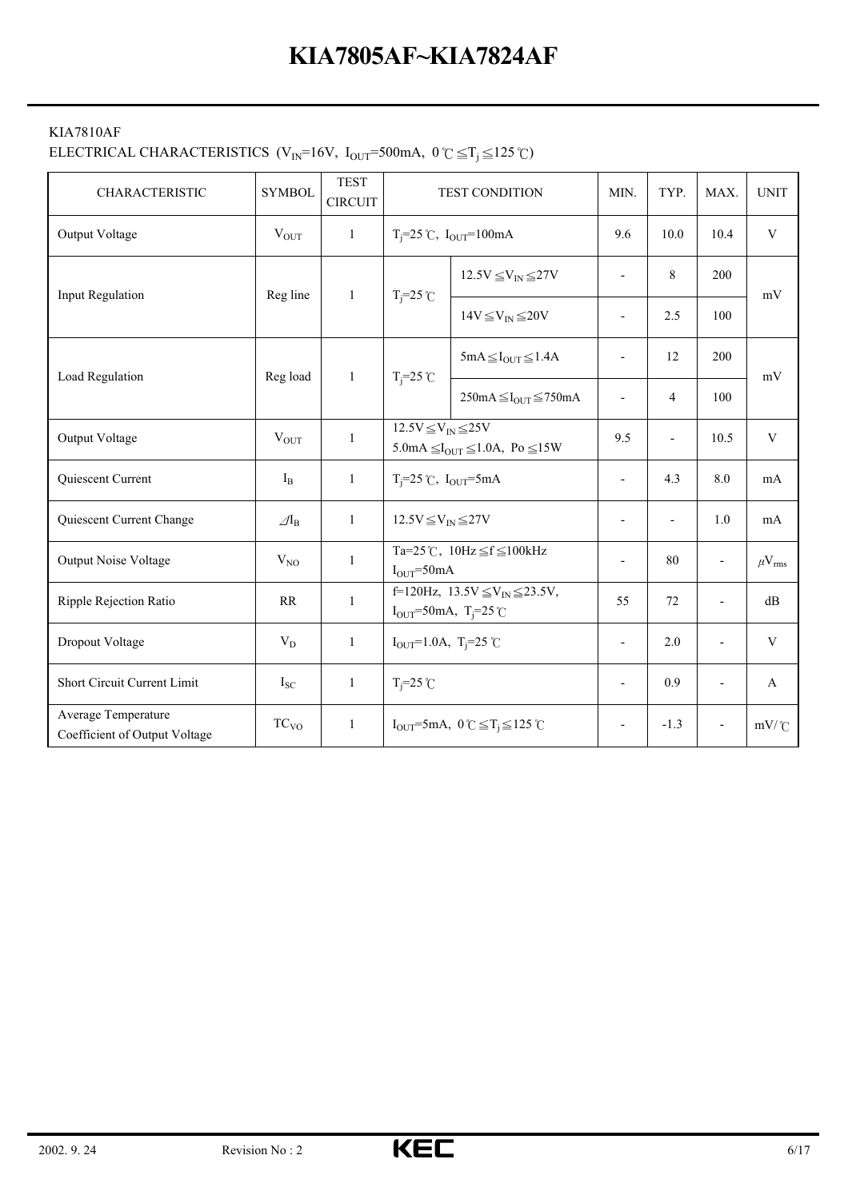#### KIA7810AF

# ELECTRICAL CHARACTERISTICS (V<sub>IN</sub>=16V, I<sub>OUT</sub>=500mA,  $0 \degree \subseteq T_j \leq 125 \degree$ C)

| <b>CHARACTERISTIC</b>                                | <b>SYMBOL</b>              | <b>TEST</b><br><b>CIRCUIT</b> |                                                                                          | <b>TEST CONDITION</b>                                                                       | MIN.                     | TYP.                     | MAX.                     | <b>UNIT</b>       |
|------------------------------------------------------|----------------------------|-------------------------------|------------------------------------------------------------------------------------------|---------------------------------------------------------------------------------------------|--------------------------|--------------------------|--------------------------|-------------------|
| Output Voltage                                       | $\rm V_{OUT}$              | $\mathbf{1}$                  |                                                                                          | $T_i = 25$ °C, $I_{OUT} = 100$ mA                                                           | 9.6                      | 10.0                     | 10.4                     | $\mathbf V$       |
| <b>Input Regulation</b>                              | Reg line                   | $\mathbf{1}$                  | $T_i = 25$ °C                                                                            | $12.5V \leq V_{IN} \leq 27V$                                                                | $\overline{\phantom{a}}$ | 8                        | 200                      | mV                |
|                                                      |                            |                               |                                                                                          | $14V \leq V_{\text{IN}} \leq 20V$                                                           | $\overline{a}$           | 2.5                      | 100                      |                   |
| Load Regulation                                      | Reg load                   | $\mathbf{1}$                  | $T_i = 25$ °C                                                                            | $5mA \leq I_{OUT} \leq 1.4A$                                                                |                          | 12                       | 200                      | mV                |
|                                                      |                            |                               |                                                                                          | $250mA \leq I_{OUT} \leq 750mA$                                                             | $\overline{\phantom{a}}$ | $\overline{4}$           | 100                      |                   |
| Output Voltage                                       | $V_{OUT}$                  | $\mathbf{1}$                  | $12.5V \leq V_{IN} \leq 25V$<br>5.0mA $\leq$ I <sub>OUT</sub> $\leq$ 1.0A, Po $\leq$ 15W |                                                                                             | 9.5                      | $\overline{\phantom{a}}$ | 10.5                     | $\mathbf V$       |
| Quiescent Current                                    | $I_{B}$                    | 1                             | $T_i = 25$ °C, $I_{OUT} = 5mA$                                                           |                                                                                             | $\overline{\phantom{a}}$ | 4.3                      | 8.0                      | mA                |
| Quiescent Current Change                             | $\mathcal{A}_{\mathrm{B}}$ | $\mathbf{1}$                  | $12.5V \leq V_{IN} \leq 27V$                                                             |                                                                                             | $\blacksquare$           | $\overline{a}$           | 1.0                      | mA                |
| Output Noise Voltage                                 | $V_{NO}$                   | 1                             | $IOUT=50mA$                                                                              | Ta=25°C, $10Hz \leq f \leq 100kHz$                                                          | Ĭ.                       | 80                       | $\overline{\phantom{a}}$ | $\mu V_{\rm rms}$ |
| Ripple Rejection Ratio                               | RR                         | $\mathbf{1}$                  |                                                                                          | f=120Hz, $13.5V \leq V_{IN} \leq 23.5V$ ,<br>$I_{OUT} = 50 \text{mA}, T_{i} = 25 \text{°C}$ | 55                       | 72                       | $\overline{a}$           | dB                |
| Dropout Voltage                                      | $V_D$                      | $\mathbf{1}$                  | $I_{OUT} = 1.0A$ , T <sub>i</sub> =25 °C                                                 |                                                                                             | $\overline{\phantom{a}}$ | 2.0                      |                          | $\mathbf V$       |
| Short Circuit Current Limit                          | $I_{SC}$                   | $\mathbf{1}$                  | $T_i = 25$ °C                                                                            |                                                                                             | $\blacksquare$           | 0.9                      |                          | A                 |
| Average Temperature<br>Coefficient of Output Voltage | TC <sub>VO</sub>           | $\mathbf{1}$                  |                                                                                          | $I_{OUT} = 5mA$ , $0 \degree C \leq T_i \leq 125 \degree C$                                 | $\overline{\phantom{a}}$ | $-1.3$                   |                          | $mV$ / $C$        |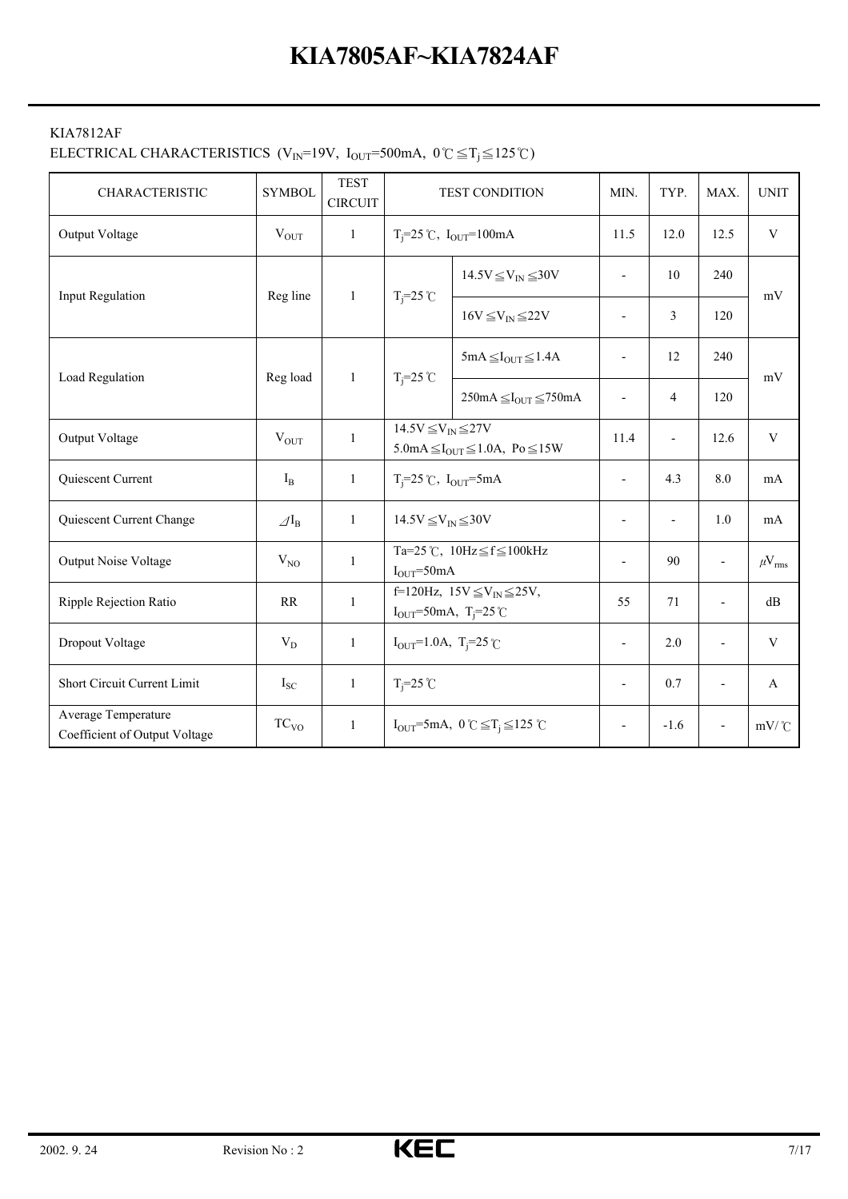#### KIA7812AF

#### ELECTRICAL CHARACTERISTICS (V<sub>IN</sub>=19V, I<sub>OUT</sub>=500mA,  $0 \degree \subseteq T_j \leq 125 \degree$ C)

| <b>CHARACTERISTIC</b>                                | <b>SYMBOL</b>            | <b>TEST</b><br><b>CIRCUIT</b> |                                                                                                               | <b>TEST CONDITION</b>                                                   | MIN.                     | TYP.                     | MAX.                     | <b>UNIT</b>       |
|------------------------------------------------------|--------------------------|-------------------------------|---------------------------------------------------------------------------------------------------------------|-------------------------------------------------------------------------|--------------------------|--------------------------|--------------------------|-------------------|
| Output Voltage                                       | $V_{OUT}$                | $\mathbf{1}$                  |                                                                                                               | $T_i = 25$ °C, $I_{OUT} = 100$ mA                                       | 11.5                     | 12.0                     | 12.5                     | $\mathbf V$       |
| Input Regulation                                     | Reg line                 | $\mathbf{1}$                  | $T_i = 25$ °C                                                                                                 | $14.5V \leq V_{IN} \leq 30V$                                            | $\overline{\phantom{a}}$ | 10                       | 240                      | mV                |
|                                                      |                          |                               |                                                                                                               | $16V \leq V_{IN} \leq 22V$                                              | $\overline{\phantom{a}}$ | 3                        | 120                      |                   |
|                                                      |                          |                               |                                                                                                               | $5mA \leq I_{OUT} \leq 1.4A$                                            | $\blacksquare$           | 12                       | 240                      |                   |
| Load Regulation                                      | Reg load                 | 1                             | $T_i = 25$ °C                                                                                                 | $250mA \leq I_{OUT} \leq 750mA$                                         | $\overline{\phantom{a}}$ | 4                        | 120                      | mV                |
| Output Voltage                                       | $V_{OUT}$                | 1                             | $14.5V \leq V_{IN} \leq 27V$<br>$5.0 \text{mA} \leq I_{\text{OUT}} \leq 1.0 \text{A}$ , Po $\leq 15 \text{W}$ |                                                                         | 11.4                     | $\overline{\phantom{a}}$ | 12.6                     | $\mathbf{V}$      |
| Quiescent Current                                    | $I_{B}$                  | $\mathbf{1}$                  | $T_i=25$ °C, $I_{OUT}=5mA$                                                                                    |                                                                         | $\overline{\phantom{a}}$ | 4.3                      | 8.0                      | mA                |
| Quiescent Current Change                             | $\varDelta I_{\text{B}}$ | $\mathbf{1}$                  | $14.5V \leq V_{IN} \leq 30V$                                                                                  |                                                                         | $\overline{\phantom{a}}$ | $\overline{\phantom{a}}$ | 1.0                      | mA                |
| <b>Output Noise Voltage</b>                          | $V_{NO}$                 | $\mathbf{1}$                  | $I_{OUT} = 50mA$                                                                                              | Ta=25 °C, $10Hz \leq f \leq 100kHz$                                     | $\overline{a}$           | 90                       | $\overline{\phantom{a}}$ | $\mu V_{\rm rms}$ |
| Ripple Rejection Ratio                               | RR                       | $\mathbf{1}$                  |                                                                                                               | f=120Hz, $15V \leq V_{IN} \leq 25V$ ,<br>$I_{OUT} = 50mA, T_j = 25°C$   |                          | 71                       | $\overline{a}$           | dB                |
| Dropout Voltage                                      | $V_D$                    | $\mathbf{1}$                  | $I_{OUT} = 1.0A$ , T <sub>i</sub> =25°C                                                                       |                                                                         | $\overline{\phantom{a}}$ | 2.0                      |                          | $\mathbf{V}$      |
| Short Circuit Current Limit                          | $I_{SC}$                 | $\mathbf{1}$                  | $T_i = 25$ °C                                                                                                 |                                                                         | $\overline{\phantom{a}}$ | 0.7                      |                          | A                 |
| Average Temperature<br>Coefficient of Output Voltage | TC <sub>VO</sub>         | $\mathbf{1}$                  |                                                                                                               | $I_{\text{OUT}} = 5 \text{mA}, 0 \text{°C} \leq T_i \leq 125 \text{°C}$ |                          | $-1.6$                   |                          | $mV$ /°C          |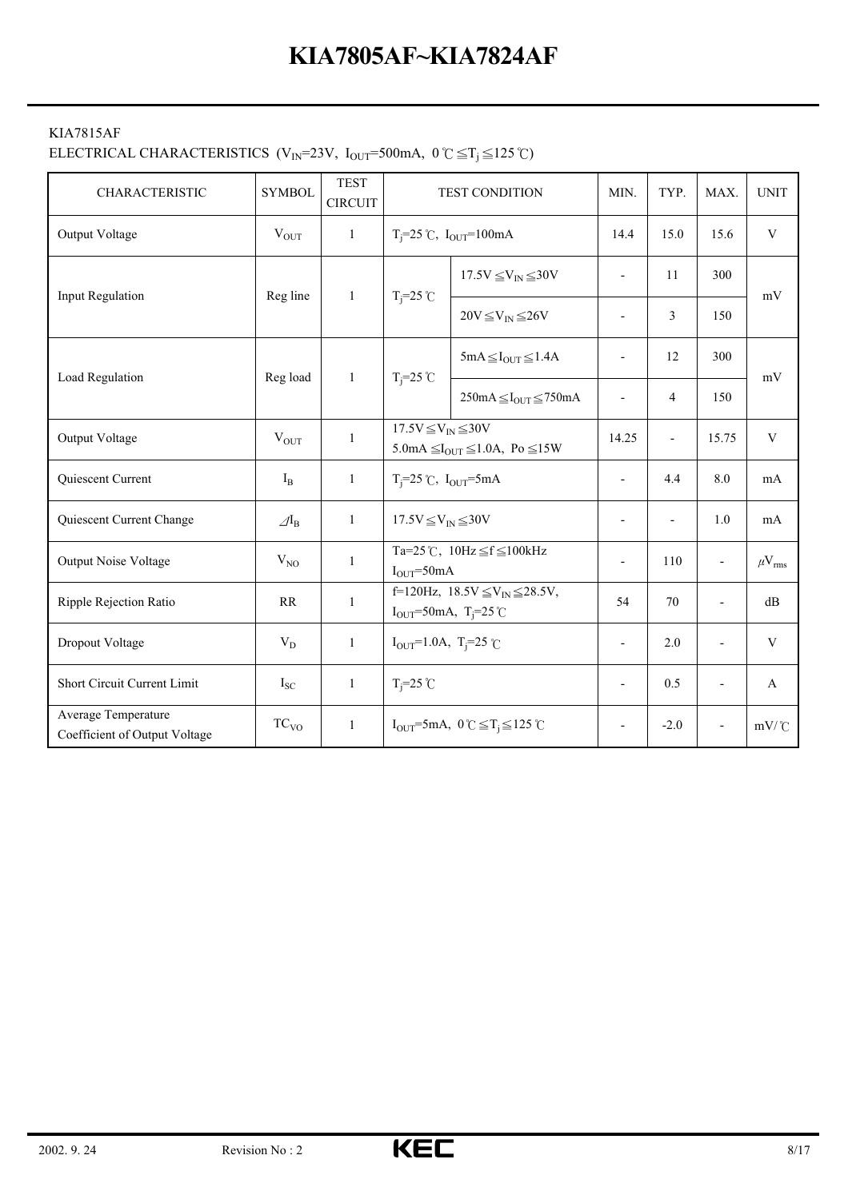#### KIA7815AF

#### ELECTRICAL CHARACTERISTICS (V<sub>IN</sub>=23V, I<sub>OUT</sub>=500mA,  $0 \degree \subseteq T_j \leq 125 \degree C$ )

| CHARACTERISTIC                                       | <b>SYMBOL</b>              | <b>TEST</b><br><b>CIRCUIT</b> |                                                                                        | TEST CONDITION                                                                              | MIN.                     | TYP.                     | MAX.                     | <b>UNIT</b>       |
|------------------------------------------------------|----------------------------|-------------------------------|----------------------------------------------------------------------------------------|---------------------------------------------------------------------------------------------|--------------------------|--------------------------|--------------------------|-------------------|
| Output Voltage                                       | $V_{OUT}$                  | $\mathbf{1}$                  |                                                                                        | $T_i = 25$ °C, $I_{OUT} = 100$ mA                                                           | 14.4                     | 15.0                     | 15.6                     | $\mathbf V$       |
| <b>Input Regulation</b>                              | Reg line                   |                               | $T_i = 25$ °C<br>1                                                                     | $17.5V \leq V_{IN} \leq 30V$                                                                | $\blacksquare$           | 11                       | 300                      | mV                |
|                                                      |                            |                               |                                                                                        | $20V \leq V_{IN} \leq 26V$                                                                  | $\overline{a}$           | 3                        | 150                      |                   |
|                                                      |                            |                               |                                                                                        | $5mA \leq I_{OUT} \leq 1.4A$                                                                | $\overline{a}$           | 12                       | 300                      |                   |
| Load Regulation                                      | Reg load                   | $\mathbf{1}$                  | $T_i = 25$ °C                                                                          | $250mA \leq I_{OUT} \leq 750mA$                                                             | $\overline{\phantom{a}}$ | $\overline{4}$           | 150                      | mV                |
| Output Voltage                                       | $V_{OUT}$                  | 1                             | $17.5V \leq V_{IN} \leq 30V$<br>5.0mA $\leq I_{\text{OUT}} \leq 1.0$ A, Po $\leq 15$ W |                                                                                             | 14.25                    | $\overline{\phantom{a}}$ | 15.75                    | $\mathbf V$       |
| Quiescent Current                                    | $I_{B}$                    | $\mathbf{1}$                  | $T_i = 25$ °C, $I_{OUT} = 5mA$                                                         |                                                                                             | $\overline{a}$           | 4.4                      | 8.0                      | mA                |
| Quiescent Current Change                             | $\mathcal{A}$ <sub>B</sub> | 1                             | $17.5V \leq V_{IN} \leq 30V$                                                           |                                                                                             | $\overline{\phantom{a}}$ | $\overline{\phantom{a}}$ | 1.0                      | mA                |
| Output Noise Voltage                                 | $V_{NO}$                   | $\mathbf{1}$                  | $IOUT=50mA$                                                                            | Ta=25°C, $10Hz \leq f \leq 100kHz$                                                          | $\overline{a}$           | 110                      | $\overline{\phantom{a}}$ | $\mu V_{\rm rms}$ |
| Ripple Rejection Ratio                               | RR                         | $\mathbf{1}$                  |                                                                                        | f=120Hz, $18.5V \leq V_{IN} \leq 28.5V$ ,<br>$I_{OUT} = 50 \text{mA}, T_{i} = 25 \text{°C}$ |                          | 70                       | $\overline{a}$           | dB                |
| Dropout Voltage                                      | $V_D$                      | $\mathbf{1}$                  | $I_{OUT} = 1.0A$ , T <sub>i</sub> =25 °C                                               |                                                                                             | $\overline{a}$           | 2.0                      |                          | V                 |
| Short Circuit Current Limit                          | $I_{SC}$                   | $\mathbf{1}$                  | $T_i = 25$ °C                                                                          |                                                                                             | $\overline{a}$           | 0.5                      |                          | $\mathbf{A}$      |
| Average Temperature<br>Coefficient of Output Voltage | TC <sub>VO</sub>           | $\mathbf{1}$                  |                                                                                        | $I_{OUT}$ =5mA, $0 \text{ C} \leq T_i \leq 125 \text{ C}$                                   | $\overline{\phantom{a}}$ | $-2.0$                   |                          | $mV$ / $C$        |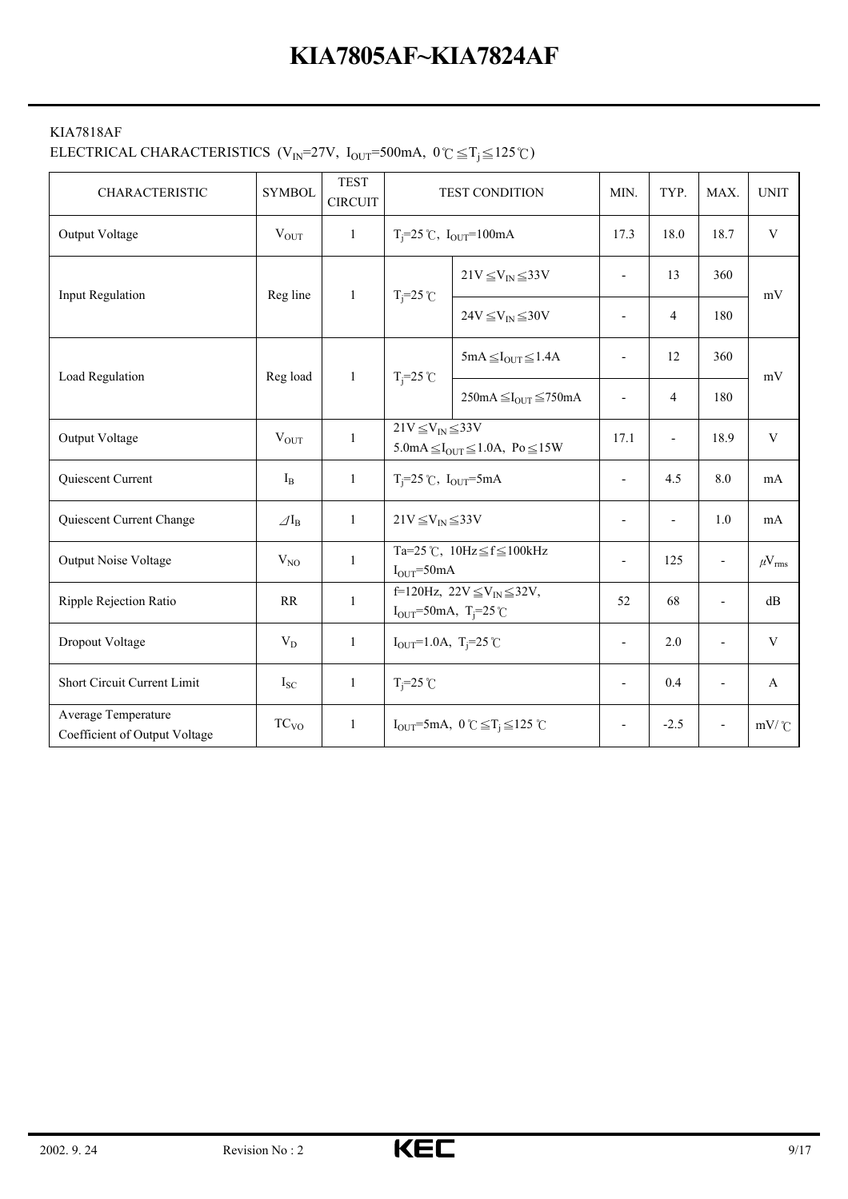#### KIA7818AF

# ELECTRICAL CHARACTERISTICS (V<sub>IN</sub>=27V, I<sub>OUT</sub>=500mA,  $0^{\circ}C \leq T_j \leq 125^{\circ}C$ )

| <b>CHARACTERISTIC</b>                                | <b>SYMBOL</b>            | <b>TEST</b><br><b>CIRCUIT</b> |                                                                                                             | <b>TEST CONDITION</b>                                                                   | MIN.                     | TYP.                     | MAX.                     | <b>UNIT</b>       |
|------------------------------------------------------|--------------------------|-------------------------------|-------------------------------------------------------------------------------------------------------------|-----------------------------------------------------------------------------------------|--------------------------|--------------------------|--------------------------|-------------------|
| Output Voltage                                       | $V_{\text{OUT}}$         | $\mathbf{1}$                  |                                                                                                             | $T_i = 25$ °C, $I_{OUT} = 100$ mA                                                       | 17.3                     | 18.0                     | 18.7                     | $\mathbf V$       |
| <b>Input Regulation</b>                              | Reg line                 | $\mathbf{1}$                  | $T_i = 25$ °C                                                                                               | $21V \leq V_{IN} \leq 33V$                                                              | $\blacksquare$           | 13                       | 360                      | mV                |
|                                                      |                          |                               |                                                                                                             | $24V \leq V_{\text{IN}} \leq 30V$                                                       | $\blacksquare$           | 4                        | 180                      |                   |
|                                                      |                          |                               |                                                                                                             | $5mA \leq I_{OUT} \leq 1.4A$                                                            |                          | 12                       | 360                      |                   |
| Load Regulation                                      | Reg load                 | $\mathbf{1}$                  | $T_i = 25$ °C                                                                                               | $250mA \leq I_{OUT} \leq 750mA$                                                         | $\overline{\phantom{a}}$ | 4                        | 180                      | mV                |
| Output Voltage                                       | $V_{OUT}$                | $\mathbf{1}$                  | $21V \leq V_{IN} \leq 33V$<br>$5.0 \text{mA} \leq I_{\text{OUT}} \leq 1.0 \text{A}$ , Po $\leq 15 \text{W}$ |                                                                                         | 17.1                     | $\overline{\phantom{a}}$ | 18.9                     | $\mathbf V$       |
| Quiescent Current                                    | $I_{B}$                  | $\mathbf{1}$                  | $T_i = 25$ °C, $I_{OUT} = 5$ mA                                                                             |                                                                                         |                          | 4.5                      | 8.0                      | mA                |
| Quiescent Current Change                             | $\varDelta I_{\text{B}}$ | $\mathbf{1}$                  | $21V \leq V_{IN} \leq 33V$                                                                                  |                                                                                         | $\overline{\phantom{a}}$ | ÷,                       | 1.0                      | mA                |
| Output Noise Voltage                                 | $V_{NO}$                 | $\mathbf{1}$                  | $I_{OUT} = 50mA$                                                                                            | Ta=25 °C, $10Hz \leq f \leq 100kHz$                                                     | $\overline{\phantom{a}}$ | 125                      | $\overline{\phantom{a}}$ | $\mu V_{\rm rms}$ |
| Ripple Rejection Ratio                               | RR                       | $\mathbf{1}$                  |                                                                                                             | f=120Hz, $22V \leq V_{IN} \leq 32V$ ,<br>$I_{OUT} = 50 \text{mA}, T_{i} = 25 \text{°C}$ | 52                       | 68                       | $\overline{a}$           | dB                |
| Dropout Voltage                                      | $V_D$                    | $\mathbf{1}$                  | $I_{OUT} = 1.0A$ , T <sub>i</sub> =25°C                                                                     |                                                                                         | $\overline{\phantom{a}}$ | 2.0                      |                          | $\mathbf V$       |
| Short Circuit Current Limit                          | $I_{SC}$                 | $\mathbf{1}$                  | $T_i = 25$ °C                                                                                               |                                                                                         | $\blacksquare$           | 0.4                      |                          | A                 |
| Average Temperature<br>Coefficient of Output Voltage | TC <sub>VO</sub>         | $\mathbf{1}$                  |                                                                                                             | $I_{\text{OUT}}=5 \text{mA}, 0^{\circ}C \leq T_i \leq 125^{\circ}C$                     | $\overline{\phantom{a}}$ | $-2.5$                   |                          | $mV$ /°C          |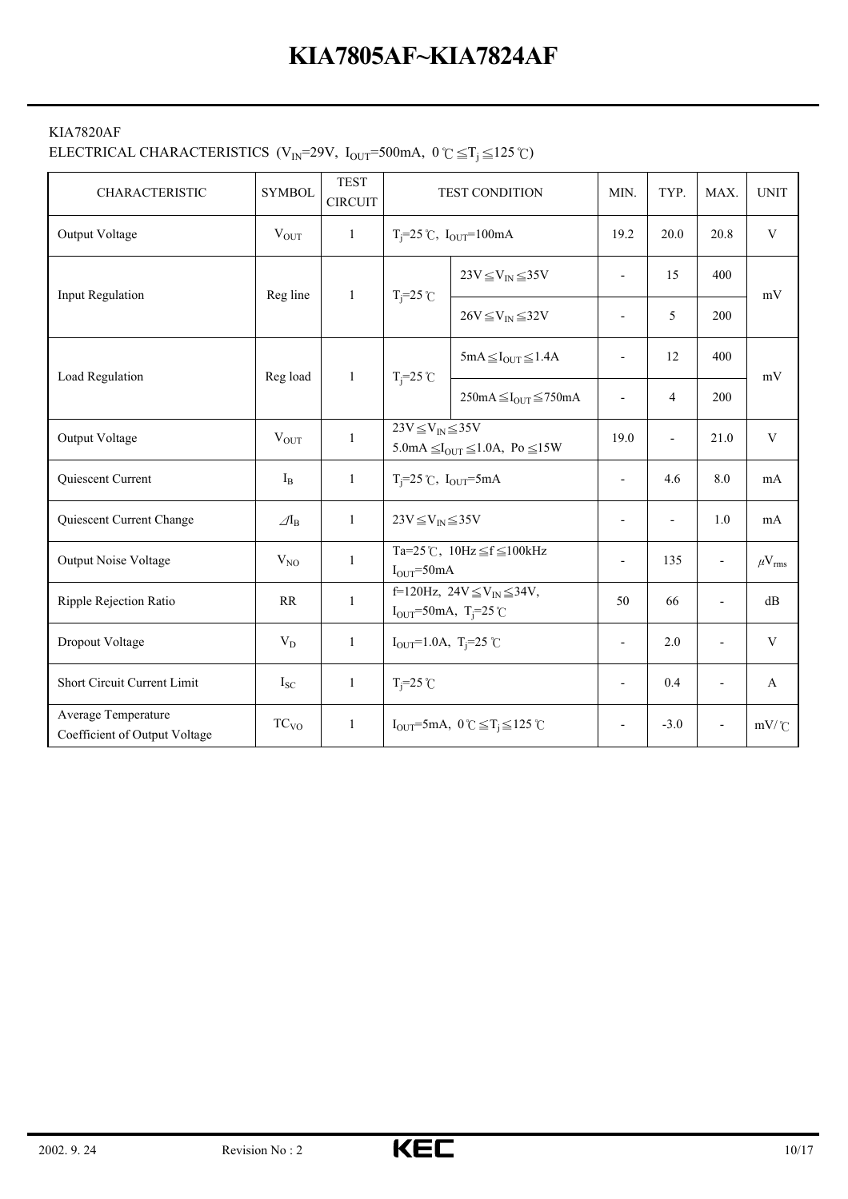#### KIA7820AF

# ELECTRICAL CHARACTERISTICS (V<sub>IN</sub>=29V, I<sub>OUT</sub>=500mA,  $0 \text{ }^{\circ}C \leq T_j \leq 125 \text{ }^{\circ}C$ )

| <b>CHARACTERISTIC</b>                                | <b>SYMBOL</b>            | <b>TEST</b><br><b>CIRCUIT</b> |                                                                                      | TEST CONDITION                                                          | MIN.                     | TYP.                     | MAX.                     | <b>UNIT</b>            |
|------------------------------------------------------|--------------------------|-------------------------------|--------------------------------------------------------------------------------------|-------------------------------------------------------------------------|--------------------------|--------------------------|--------------------------|------------------------|
| Output Voltage                                       | $V_{\text{OUT}}$         | $\mathbf{1}$                  |                                                                                      | $T_i = 25$ °C, $I_{OUT} = 100$ mA                                       | 19.2                     | 20.0                     | 20.8                     | $\mathbf V$            |
| <b>Input Regulation</b>                              | Reg line                 | $\mathbf{1}$                  | $T_i = 25$ °C                                                                        | $23V \leq V_{IN} \leq 35V$                                              | $\blacksquare$           | 15                       | 400                      | mV                     |
|                                                      |                          |                               |                                                                                      | $26V \leq V_{IN} \leq 32V$                                              | $\blacksquare$           | 5                        | 200                      |                        |
| Load Regulation                                      | Reg load                 | $\mathbf{1}$                  | $T_i = 25$ °C                                                                        | $5mA \leq I_{OUT} \leq 1.4A$                                            |                          | 12                       | 400                      | mV                     |
|                                                      |                          |                               |                                                                                      | $250mA \leq I_{OUT} \leq 750mA$                                         | $\overline{\phantom{a}}$ | $\overline{4}$           | 200                      |                        |
| Output Voltage                                       | $V_{OUT}$                | 1                             | $23V \leq V_{IN} \leq 35V$<br>5.0mA $\leq I_{\text{OUT}} \leq 1.0$ A, Po $\leq 15$ W |                                                                         | 19.0                     | $\overline{\phantom{a}}$ | 21.0                     | $\mathbf V$            |
| Quiescent Current                                    | $I_{B}$                  | $\mathbf{1}$                  | $T_i = 25$ °C, $I_{OUT} = 5mA$                                                       |                                                                         | $\overline{a}$           | 4.6                      | 8.0                      | mA                     |
| Quiescent Current Change                             | $\mathcal{A}_{\text{B}}$ | $\mathbf{1}$                  | $23V \leq V_{IN} \leq 35V$                                                           |                                                                         | $\blacksquare$           |                          | 1.0                      | mA                     |
| <b>Output Noise Voltage</b>                          | $V_{NO}$                 | $\mathbf{1}$                  | $IOUT=50mA$                                                                          | Ta=25°C, $10Hz \leq f \leq 100kHz$                                      | Ĭ.                       | 135                      | $\overline{\phantom{a}}$ | $\mu$ V <sub>rms</sub> |
| Ripple Rejection Ratio                               | RR                       | $\mathbf{1}$                  |                                                                                      | f=120Hz, $24V \leq V_{IN} \leq 34V$ ,<br>$I_{OUT} = 50mA, T_{i} = 25°C$ |                          | 66                       | $\overline{\phantom{a}}$ | dB                     |
| Dropout Voltage                                      | $V_D$                    | $\mathbf{1}$                  | $I_{OUT} = 1.0A$ , T <sub>i</sub> =25 °C                                             |                                                                         | $\blacksquare$           | 2.0                      |                          | $\mathbf V$            |
| Short Circuit Current Limit                          | $I_{SC}$                 | $\mathbf{1}$                  | $T_i = 25$ °C                                                                        |                                                                         | $\overline{\phantom{a}}$ | 0.4                      |                          | A                      |
| Average Temperature<br>Coefficient of Output Voltage | TC <sub>VO</sub>         | $\mathbf{1}$                  |                                                                                      | $I_{OUT} = 5mA$ , $0 \degree C \leq T_i \leq 125 \degree C$             | $\overline{\phantom{a}}$ | $-3.0$                   |                          | $mV$ / $C$             |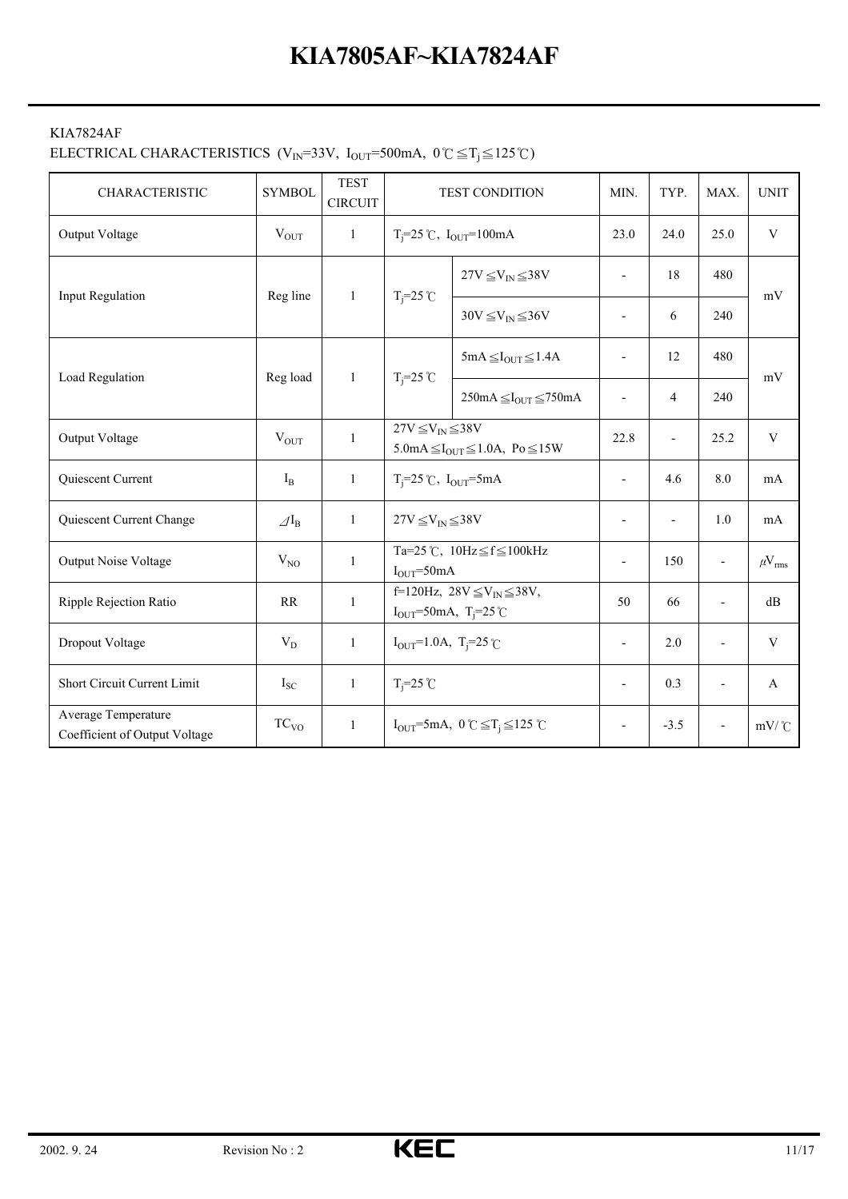#### KIA7824AF

#### ELECTRICAL CHARACTERISTICS (V<sub>IN</sub>=33V, I<sub>OUT</sub>=500mA,  $0 \degree \subseteq T_i \leq 125 \degree C$ )

| <b>CHARACTERISTIC</b>                                | <b>SYMBOL</b>            | <b>TEST</b><br><b>CIRCUIT</b> |                                                                                                             | <b>TEST CONDITION</b>                                                   | MIN.                     | TYP.                     | MAX.                     | <b>UNIT</b>       |
|------------------------------------------------------|--------------------------|-------------------------------|-------------------------------------------------------------------------------------------------------------|-------------------------------------------------------------------------|--------------------------|--------------------------|--------------------------|-------------------|
| Output Voltage                                       | $V_{OUT}$                | $\mathbf{1}$                  |                                                                                                             | $T_i = 25$ °C, $I_{OUT} = 100$ mA                                       | 23.0                     | 24.0                     | 25.0                     | $\mathbf V$       |
| Input Regulation                                     | Reg line                 | $\mathbf{1}$                  | $T_i = 25$ °C                                                                                               | $27V \leq V_{IN} \leq 38V$                                              | $\overline{\phantom{a}}$ | 18                       | 480                      | mV                |
|                                                      |                          |                               |                                                                                                             | $30V \leq V_{IN} \leq 36V$                                              | $\overline{\phantom{a}}$ | 6                        | 240                      |                   |
| Load Regulation                                      | Reg load                 | 1                             | $T_i = 25$ °C                                                                                               | $5mA \leq I_{OUT} \leq 1.4A$                                            | $\overline{a}$           | 12                       | 480                      |                   |
|                                                      |                          |                               |                                                                                                             | $250mA \leq I_{OUT} \leq 750mA$                                         | $\overline{\phantom{a}}$ | 4                        | 240                      | mV                |
| Output Voltage                                       | $V_{OUT}$                | 1                             | $27V \leq V_{IN} \leq 38V$<br>$5.0 \text{mA} \leq I_{\text{OUT}} \leq 1.0 \text{A}$ , Po $\leq 15 \text{W}$ |                                                                         | 22.8                     | $\overline{\phantom{a}}$ | 25.2                     | $\mathbf V$       |
| Quiescent Current                                    | $I_{B}$                  | $\mathbf{1}$                  | $T_i=25$ °C, $I_{OUT}=5mA$                                                                                  |                                                                         | $\overline{\phantom{a}}$ | 4.6                      | 8.0                      | mA                |
| Quiescent Current Change                             | $\varDelta I_{\text{B}}$ | $\mathbf{1}$                  | $27V \leq V_{IN} \leq 38V$                                                                                  |                                                                         | $\overline{\phantom{a}}$ | $\overline{\phantom{a}}$ | 1.0                      | mA                |
| <b>Output Noise Voltage</b>                          | $V_{NO}$                 | $\mathbf{1}$                  | $I_{OUT} = 50mA$                                                                                            | Ta=25 °C, $10Hz \leq f \leq 100kHz$                                     | Ĭ.                       | 150                      | $\overline{\phantom{0}}$ | $\mu V_{\rm rms}$ |
| Ripple Rejection Ratio                               | RR                       | $\mathbf{1}$                  |                                                                                                             | f=120Hz, $28V \leq V_{IN} \leq 38V$ ,<br>$I_{OUT} = 50mA, T_j = 25°C$   |                          | 66                       | $\overline{a}$           | dB                |
| Dropout Voltage                                      | $V_D$                    | $\mathbf{1}$                  | $I_{OUT} = 1.0A$ , T <sub>i</sub> =25°C                                                                     |                                                                         | $\overline{\phantom{a}}$ | 2.0                      |                          | $\mathbf{V}$      |
| Short Circuit Current Limit                          | $I_{SC}$                 | $\mathbf{1}$                  | $T_i = 25$ °C                                                                                               |                                                                         | $\overline{\phantom{a}}$ | 0.3                      |                          | A                 |
| Average Temperature<br>Coefficient of Output Voltage | TC <sub>VO</sub>         | $\mathbf{1}$                  |                                                                                                             | $I_{\text{OUT}} = 5 \text{mA}, 0 \text{°C} \leq T_i \leq 125 \text{°C}$ |                          | $-3.5$                   |                          | $mV$ / $C$        |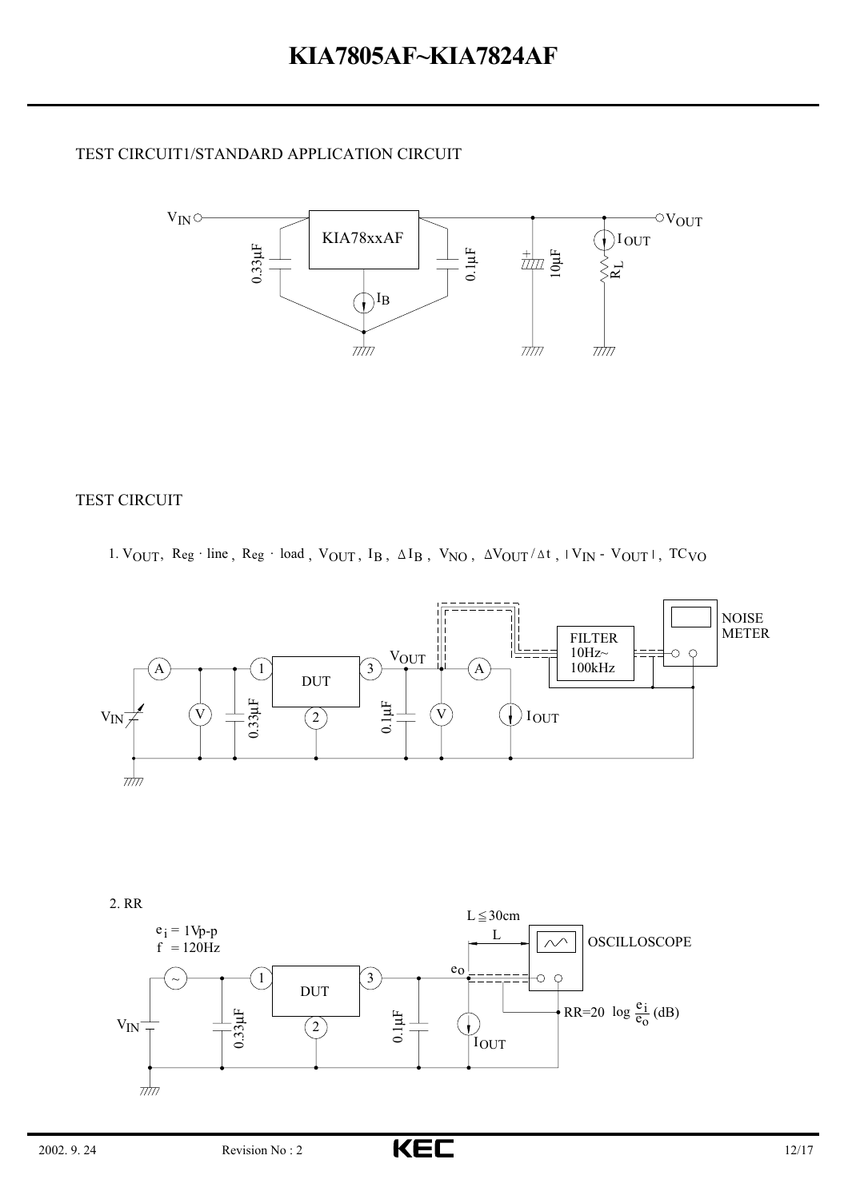#### TEST CIRCUIT1/STANDARD APPLICATION CIRCUIT



#### TEST CIRCUIT

1.  $V_{OUT}$ ,  $Reg \cdot line$ ,  $Reg \cdot load$ ,  $V_{OUT}$ ,  $I_B$ ,  $\Delta I_B$ ,  $V_{NO}$ ,  $\Delta V_{OUT}/\Delta t$ ,  $V_{IN}$  -  $V_{OUT}|$ ,  $TC_{VO}$ 



2. RR

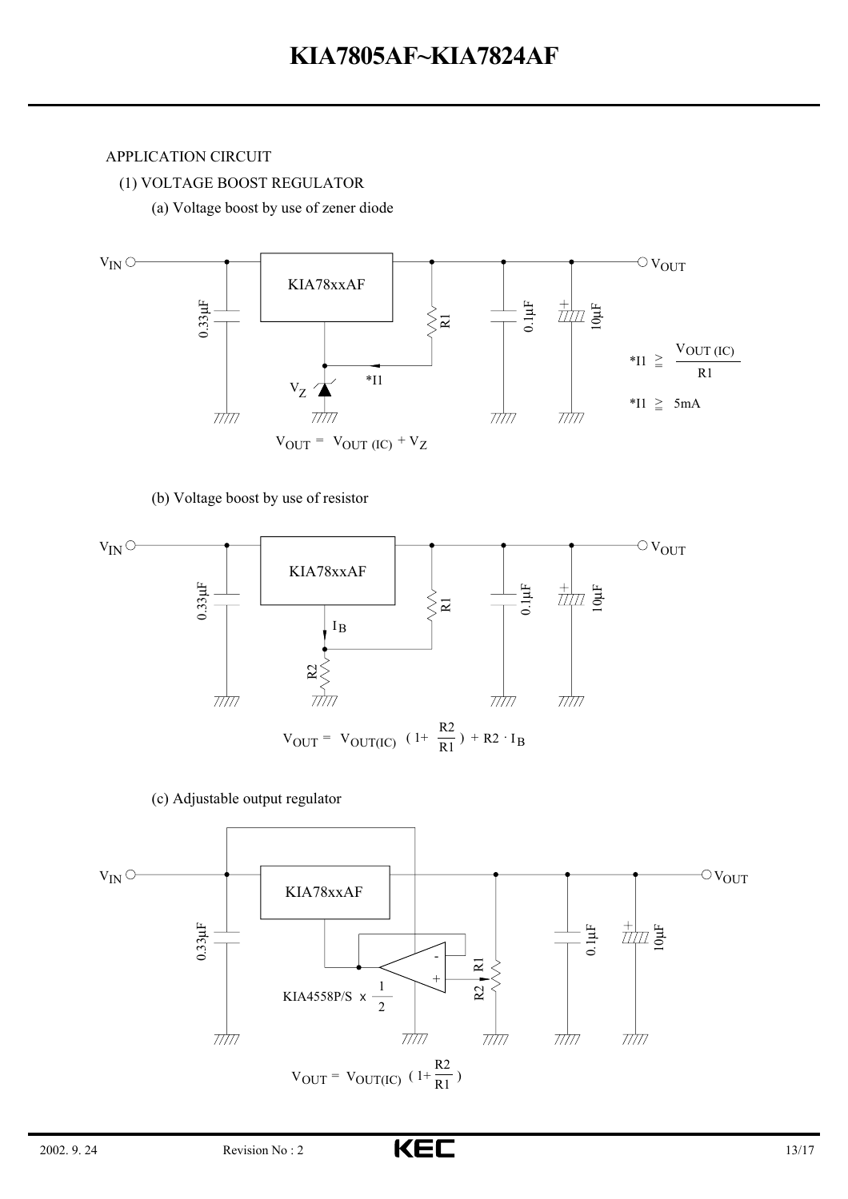#### APPLICATION CIRCUIT

(1) VOLTAGE BOOST REGULATOR

(a) Voltage boost by use of zener diode



#### (b) Voltage boost by use of resistor



(c) Adjustable output regulator

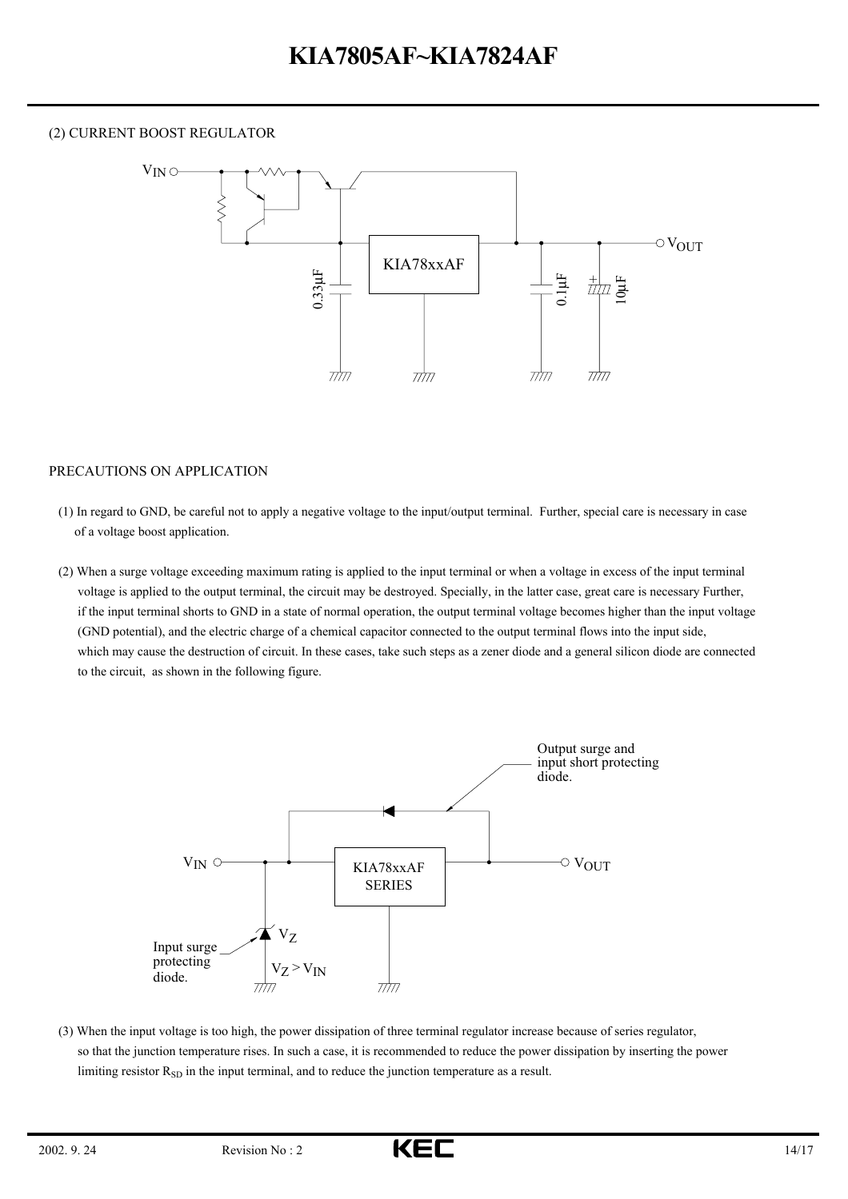#### (2) CURRENT BOOST REGULATOR



#### PRECAUTIONS ON APPLICATION

(1) In regard to GND, be careful not to apply a negative voltage to the input/output terminal. Further, special care is necessary in case of a voltage boost application.

(2) When a surge voltage exceeding maximum rating is applied to the input terminal or when a voltage in excess of the input terminal voltage is applied to the output terminal, the circuit may be destroyed. Specially, in the latter case, great care is necessary Further, if the input terminal shorts to GND in a state of normal operation, the output terminal voltage becomes higher than the input voltage (GND potential), and the electric charge of a chemical capacitor connected to the output terminal flows into the input side, which may cause the destruction of circuit. In these cases, take such steps as a zener diode and a general silicon diode are connected to the circuit, as shown in the following figure.



(3) When the input voltage is too high, the power dissipation of three terminal regulator increase because of series regulator, so that the junction temperature rises. In such a case, it is recommended to reduce the power dissipation by inserting the power limiting resistor  $R_{SD}$  in the input terminal, and to reduce the junction temperature as a result.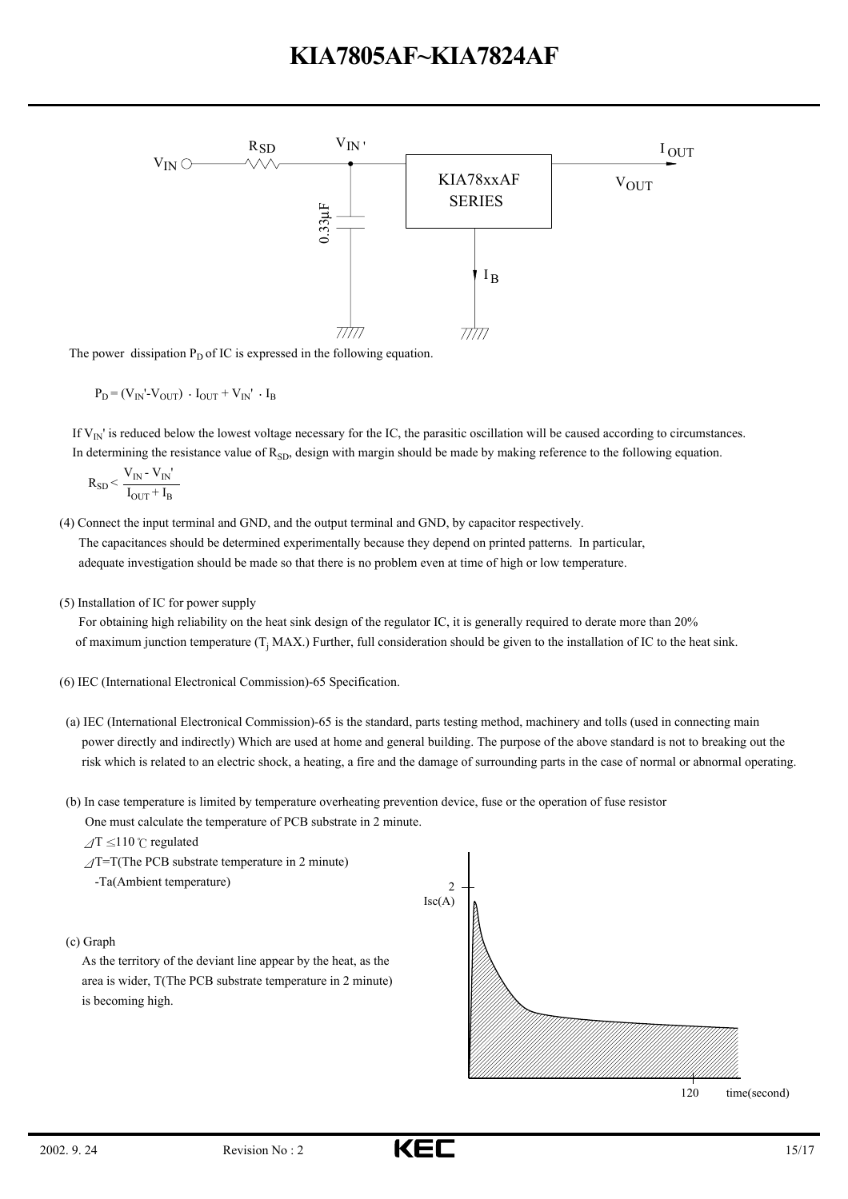

The power dissipation  $P_D$  of IC is expressed in the following equation.

$$
\mathbf{P}_{\mathrm{D}}\!=\!\left(\mathbf{V}_{\mathrm{IN}}\!\!\cdot\!\mathbf{V}_{\mathrm{OUT}}\right)\:\cdot\mathbf{I}_{\mathrm{OUT}}+\mathbf{V}_{\mathrm{IN}}\!\!\phantom{V}\cdot\mathbf{I}_{\mathrm{B}}
$$

If  $V_{\text{IN}}'$  is reduced below the lowest voltage necessary for the IC, the parasitic oscillation will be caused according to circumstances. In determining the resistance value of R<sub>SD</sub>, design with margin should be made by making reference to the following equation.

$$
R_{SD} < \frac{V_{IN} - V_{IN}^{'}}{I_{OUT} + I_B}
$$

(4) Connect the input terminal and GND, and the output terminal and GND, by capacitor respectively.

The capacitances should be determined experimentally because they depend on printed patterns. In particular, adequate investigation should be made so that there is no problem even at time of high or low temperature.

(5) Installation of IC for power supply

For obtaining high reliability on the heat sink design of the regulator IC, it is generally required to derate more than 20% of maximum junction temperature  $(T_i MAX.)$  Further, full consideration should be given to the installation of IC to the heat sink.

- (6) IEC (International Electronical Commission)-65 Specification.
- (a) IEC (International Electronical Commission)-65 is the standard, parts testing method, machinery and tolls (used in connecting main power directly and indirectly) Which are used at home and general building. The purpose of the above standard is not to breaking out the risk which is related to an electric shock, a heating, a fire and the damage of surrounding parts in the case of normal or abnormal operating.
- (b) In case temperature is limited by temperature overheating prevention device, fuse or the operation of fuse resistor One must calculate the temperature of PCB substrate in 2 minute.
- $\Delta T \leq 110$  °C regulated  $\angle$ T=T(The PCB substrate temperature in 2 minute) -Ta(Ambient temperature) (c) Graph As the territory of the deviant line appear by the heat, as the area is wider, T(The PCB substrate temperature in 2 minute) is becoming high. 120 time(second) 2  $\text{Isc}(A)$

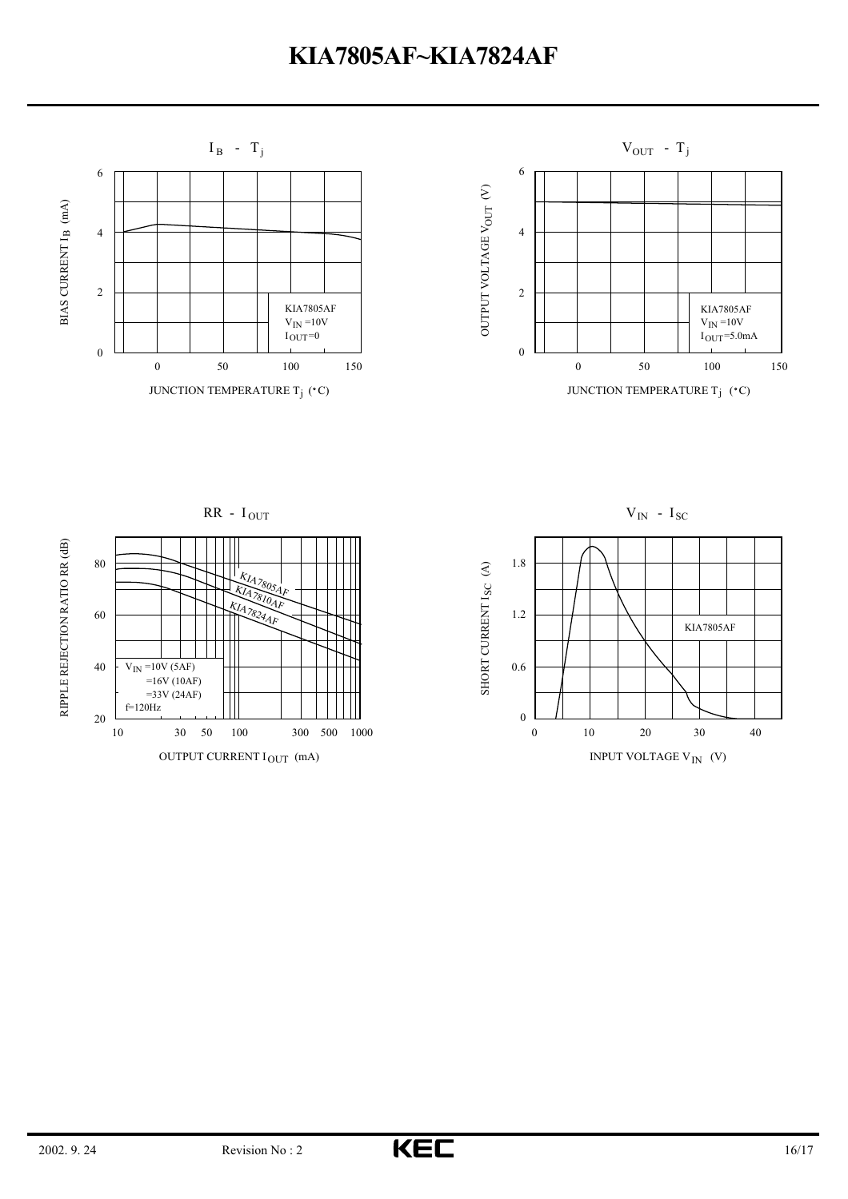



RIPPLE REJECTION RATIO RR (dB) RIPPLE REJECTION RATIO RR (dB)



 $V_{IN}$  -  $I_{SC}$ 



SHORT CURRENT I (A)